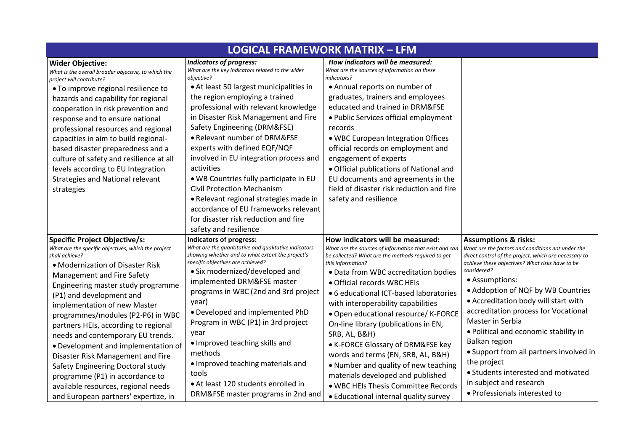| <b>LOGICAL FRAMEWORK MATRIX - LFM</b>                                                                                                                                                                                                                                                                                                                                                                                                                                                                                                                                                                                                  |                                                                                                                                                                                                                                                                                                                                                                                                                                                                                                                                                                                                                                                         |                                                                                                                                                                                                                                                                                                                                                                                                                                                                                                                                                                                                                                                                       |                                                                                                                                                                                                                                                                                                                                                                                                                                                                                                                                                                                                    |
|----------------------------------------------------------------------------------------------------------------------------------------------------------------------------------------------------------------------------------------------------------------------------------------------------------------------------------------------------------------------------------------------------------------------------------------------------------------------------------------------------------------------------------------------------------------------------------------------------------------------------------------|---------------------------------------------------------------------------------------------------------------------------------------------------------------------------------------------------------------------------------------------------------------------------------------------------------------------------------------------------------------------------------------------------------------------------------------------------------------------------------------------------------------------------------------------------------------------------------------------------------------------------------------------------------|-----------------------------------------------------------------------------------------------------------------------------------------------------------------------------------------------------------------------------------------------------------------------------------------------------------------------------------------------------------------------------------------------------------------------------------------------------------------------------------------------------------------------------------------------------------------------------------------------------------------------------------------------------------------------|----------------------------------------------------------------------------------------------------------------------------------------------------------------------------------------------------------------------------------------------------------------------------------------------------------------------------------------------------------------------------------------------------------------------------------------------------------------------------------------------------------------------------------------------------------------------------------------------------|
| <b>Wider Objective:</b><br>What is the overall broader objective, to which the<br>project will contribute?<br>. To improve regional resilience to<br>hazards and capability for regional<br>cooperation in risk prevention and<br>response and to ensure national<br>professional resources and regional<br>capacities in aim to build regional-<br>based disaster preparedness and a<br>culture of safety and resilience at all<br>levels according to EU Integration<br><b>Strategies and National relevant</b><br>strategies                                                                                                        | <b>Indicators of progress:</b><br>What are the key indicators related to the wider<br>objective?<br>• At least 50 largest municipalities in<br>the region employing a trained<br>professional with relevant knowledge<br>in Disaster Risk Management and Fire<br>Safety Engineering (DRM&FSE)<br>• Relevant number of DRM&FSE<br>experts with defined EQF/NQF<br>involved in EU integration process and<br>activities<br>. WB Countries fully participate in EU<br><b>Civil Protection Mechanism</b><br>· Relevant regional strategies made in<br>accordance of EU frameworks relevant<br>for disaster risk reduction and fire<br>safety and resilience | How indicators will be measured:<br>What are the sources of information on these<br>indicators?<br>• Annual reports on number of<br>graduates, trainers and employees<br>educated and trained in DRM&FSE<br>· Public Services official employment<br>records<br>. WBC European Integration Offices<br>official records on employment and<br>engagement of experts<br>• Official publications of National and<br>EU documents and agreements in the<br>field of disaster risk reduction and fire<br>safety and resilience                                                                                                                                              |                                                                                                                                                                                                                                                                                                                                                                                                                                                                                                                                                                                                    |
| <b>Specific Project Objective/s:</b><br>What are the specific objectives, which the project<br>shall achieve?<br>• Modernization of Disaster Risk<br>Management and Fire Safety<br>Engineering master study programme<br>(P1) and development and<br>implementation of new Master<br>programmes/modules (P2-P6) in WBC<br>partners HEIs, according to regional<br>needs and contemporary EU trends.<br>• Development and implementation of<br>Disaster Risk Management and Fire<br>Safety Engineering Doctoral study<br>programme (P1) in accordance to<br>available resources, regional needs<br>and European partners' expertize, in | Indicators of progress:<br>What are the quantitative and qualitative indicators<br>showing whether and to what extent the project's<br>specific objectives are achieved?<br>• Six modernized/developed and<br>implemented DRM&FSE master<br>programs in WBC (2nd and 3rd project<br>year)<br>• Developed and implemented PhD<br>Program in WBC (P1) in 3rd project<br>year<br>• Improved teaching skills and<br>methods<br>· Improved teaching materials and<br>tools<br>• At least 120 students enrolled in<br>DRM&FSE master programs in 2nd and                                                                                                      | How indicators will be measured:<br>What are the sources of information that exist and can<br>be collected? What are the methods required to get<br>this information?<br>. Data from WBC accreditation bodies<br>• Official records WBC HEIs<br>• 6 educational ICT-based laboratories<br>with interoperability capabilities<br>· Open educational resource/ K-FORCE<br>On-line library (publications in EN,<br>SRB, AL, B&H)<br>• K-FORCE Glossary of DRM&FSE key<br>words and terms (EN, SRB, AL, B&H)<br>• Number and quality of new teaching<br>materials developed and published<br>. WBC HEIs Thesis Committee Records<br>• Educational internal quality survey | <b>Assumptions &amp; risks:</b><br>What are the factors and conditions not under the<br>direct control of the project, which are necessary to<br>achieve these objectives? What risks have to be<br>considered?<br>• Assumptions:<br>• Addoption of NQF by WB Countries<br>• Accreditation body will start with<br>accreditation process for Vocational<br>Master in Serbia<br>• Political and economic stability in<br>Balkan region<br>• Support from all partners involved in<br>the project<br>• Students interested and motivated<br>in subject and research<br>· Professionals interested to |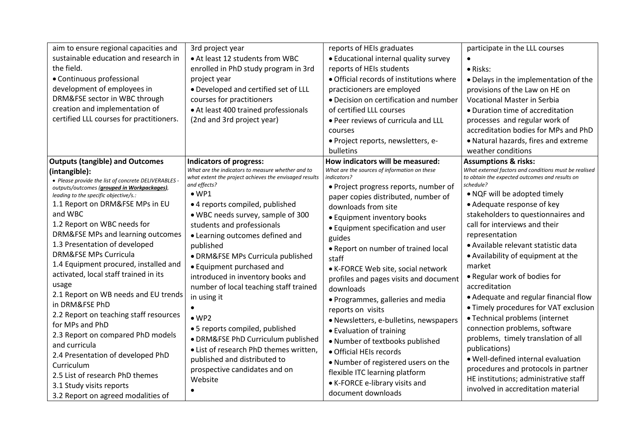| aim to ensure regional capacities and                                                                                                                                                                                                                                                                                                                                                                                                                                                                                                                                                                                                                                                                                                          | 3rd project year                                                                                                                                                                                                                                                                                                                                                                                                                                                                                                                                                                                                                                                                   | reports of HEIs graduates                                                                                                                                                                                                                                                                                                                                                                                                                                                                                                                                                                                                                                                                               | participate in the LLL courses                                                                                                                                                                                                                                                                                                                                                                                                                                                                                                                                                                                                                                                                                                                         |
|------------------------------------------------------------------------------------------------------------------------------------------------------------------------------------------------------------------------------------------------------------------------------------------------------------------------------------------------------------------------------------------------------------------------------------------------------------------------------------------------------------------------------------------------------------------------------------------------------------------------------------------------------------------------------------------------------------------------------------------------|------------------------------------------------------------------------------------------------------------------------------------------------------------------------------------------------------------------------------------------------------------------------------------------------------------------------------------------------------------------------------------------------------------------------------------------------------------------------------------------------------------------------------------------------------------------------------------------------------------------------------------------------------------------------------------|---------------------------------------------------------------------------------------------------------------------------------------------------------------------------------------------------------------------------------------------------------------------------------------------------------------------------------------------------------------------------------------------------------------------------------------------------------------------------------------------------------------------------------------------------------------------------------------------------------------------------------------------------------------------------------------------------------|--------------------------------------------------------------------------------------------------------------------------------------------------------------------------------------------------------------------------------------------------------------------------------------------------------------------------------------------------------------------------------------------------------------------------------------------------------------------------------------------------------------------------------------------------------------------------------------------------------------------------------------------------------------------------------------------------------------------------------------------------------|
| sustainable education and research in                                                                                                                                                                                                                                                                                                                                                                                                                                                                                                                                                                                                                                                                                                          | • At least 12 students from WBC                                                                                                                                                                                                                                                                                                                                                                                                                                                                                                                                                                                                                                                    | • Educational internal quality survey                                                                                                                                                                                                                                                                                                                                                                                                                                                                                                                                                                                                                                                                   |                                                                                                                                                                                                                                                                                                                                                                                                                                                                                                                                                                                                                                                                                                                                                        |
| the field.                                                                                                                                                                                                                                                                                                                                                                                                                                                                                                                                                                                                                                                                                                                                     | enrolled in PhD study program in 3rd                                                                                                                                                                                                                                                                                                                                                                                                                                                                                                                                                                                                                                               | reports of HEIs students                                                                                                                                                                                                                                                                                                                                                                                                                                                                                                                                                                                                                                                                                | · Risks:                                                                                                                                                                                                                                                                                                                                                                                                                                                                                                                                                                                                                                                                                                                                               |
| • Continuous professional                                                                                                                                                                                                                                                                                                                                                                                                                                                                                                                                                                                                                                                                                                                      | project year                                                                                                                                                                                                                                                                                                                                                                                                                                                                                                                                                                                                                                                                       | • Official records of institutions where                                                                                                                                                                                                                                                                                                                                                                                                                                                                                                                                                                                                                                                                | • Delays in the implementation of the                                                                                                                                                                                                                                                                                                                                                                                                                                                                                                                                                                                                                                                                                                                  |
| development of employees in                                                                                                                                                                                                                                                                                                                                                                                                                                                                                                                                                                                                                                                                                                                    | • Developed and certified set of LLL                                                                                                                                                                                                                                                                                                                                                                                                                                                                                                                                                                                                                                               | practicioners are employed                                                                                                                                                                                                                                                                                                                                                                                                                                                                                                                                                                                                                                                                              | provisions of the Law on HE on                                                                                                                                                                                                                                                                                                                                                                                                                                                                                                                                                                                                                                                                                                                         |
| DRM&FSE sector in WBC through                                                                                                                                                                                                                                                                                                                                                                                                                                                                                                                                                                                                                                                                                                                  | courses for practitioners                                                                                                                                                                                                                                                                                                                                                                                                                                                                                                                                                                                                                                                          | • Decision on certification and number                                                                                                                                                                                                                                                                                                                                                                                                                                                                                                                                                                                                                                                                  | Vocational Master in Serbia                                                                                                                                                                                                                                                                                                                                                                                                                                                                                                                                                                                                                                                                                                                            |
| creation and implementation of                                                                                                                                                                                                                                                                                                                                                                                                                                                                                                                                                                                                                                                                                                                 | • At least 400 trained professionals                                                                                                                                                                                                                                                                                                                                                                                                                                                                                                                                                                                                                                               | of certified LLL courses                                                                                                                                                                                                                                                                                                                                                                                                                                                                                                                                                                                                                                                                                | • Duration time of accreditation                                                                                                                                                                                                                                                                                                                                                                                                                                                                                                                                                                                                                                                                                                                       |
| certified LLL courses for practitioners.                                                                                                                                                                                                                                                                                                                                                                                                                                                                                                                                                                                                                                                                                                       | (2nd and 3rd project year)                                                                                                                                                                                                                                                                                                                                                                                                                                                                                                                                                                                                                                                         | . Peer reviews of curricula and LLL                                                                                                                                                                                                                                                                                                                                                                                                                                                                                                                                                                                                                                                                     | processes and regular work of                                                                                                                                                                                                                                                                                                                                                                                                                                                                                                                                                                                                                                                                                                                          |
|                                                                                                                                                                                                                                                                                                                                                                                                                                                                                                                                                                                                                                                                                                                                                |                                                                                                                                                                                                                                                                                                                                                                                                                                                                                                                                                                                                                                                                                    | courses                                                                                                                                                                                                                                                                                                                                                                                                                                                                                                                                                                                                                                                                                                 | accreditation bodies for MPs and PhD                                                                                                                                                                                                                                                                                                                                                                                                                                                                                                                                                                                                                                                                                                                   |
|                                                                                                                                                                                                                                                                                                                                                                                                                                                                                                                                                                                                                                                                                                                                                |                                                                                                                                                                                                                                                                                                                                                                                                                                                                                                                                                                                                                                                                                    | · Project reports, newsletters, e-                                                                                                                                                                                                                                                                                                                                                                                                                                                                                                                                                                                                                                                                      | • Natural hazards, fires and extreme                                                                                                                                                                                                                                                                                                                                                                                                                                                                                                                                                                                                                                                                                                                   |
|                                                                                                                                                                                                                                                                                                                                                                                                                                                                                                                                                                                                                                                                                                                                                |                                                                                                                                                                                                                                                                                                                                                                                                                                                                                                                                                                                                                                                                                    | bulletins                                                                                                                                                                                                                                                                                                                                                                                                                                                                                                                                                                                                                                                                                               | weather conditions                                                                                                                                                                                                                                                                                                                                                                                                                                                                                                                                                                                                                                                                                                                                     |
| <b>Outputs (tangible) and Outcomes</b>                                                                                                                                                                                                                                                                                                                                                                                                                                                                                                                                                                                                                                                                                                         | <b>Indicators of progress:</b>                                                                                                                                                                                                                                                                                                                                                                                                                                                                                                                                                                                                                                                     | How indicators will be measured:                                                                                                                                                                                                                                                                                                                                                                                                                                                                                                                                                                                                                                                                        | <b>Assumptions &amp; risks:</b>                                                                                                                                                                                                                                                                                                                                                                                                                                                                                                                                                                                                                                                                                                                        |
| (intangible):<br>• Please provide the list of concrete DELIVERABLES -<br>outputs/outcomes (grouped in Workpackages),<br>leading to the specific objective/s.:<br>1.1 Report on DRM&FSE MPs in EU<br>and WBC<br>1.2 Report on WBC needs for<br>DRM&FSE MPs and learning outcomes<br>1.3 Presentation of developed<br><b>DRM&amp;FSE MPs Curricula</b><br>1.4 Equipment procured, installed and<br>activated, local staff trained in its<br>usage<br>2.1 Report on WB needs and EU trends<br>in DRM&FSE PhD<br>2.2 Report on teaching staff resources<br>for MPs and PhD<br>2.3 Report on compared PhD models<br>and curricula<br>2.4 Presentation of developed PhD<br>Curriculum<br>2.5 List of research PhD themes<br>3.1 Study visits reports | What are the indicators to measure whether and to<br>what extent the project achieves the envisaged results<br>and effects?<br>$\bullet$ WP1<br>• 4 reports compiled, published<br>• WBC needs survey, sample of 300<br>students and professionals<br>• Learning outcomes defined and<br>published<br>· DRM&FSE MPs Curricula published<br>• Equipment purchased and<br>introduced in inventory books and<br>number of local teaching staff trained<br>in using it<br>$\bullet$ WP2<br>• 5 reports compiled, published<br>· DRM&FSE PhD Curriculum published<br>• List of research PhD themes written,<br>published and distributed to<br>prospective candidates and on<br>Website | What are the sources of information on these<br>indicators?<br>• Project progress reports, number of<br>paper copies distributed, number of<br>downloads from site<br>• Equipment inventory books<br>• Equipment specification and user<br>guides<br>• Report on number of trained local<br>staff<br>• K-FORCE Web site, social network<br>profiles and pages visits and document<br>downloads<br>• Programmes, galleries and media<br>reports on visits<br>· Newsletters, e-bulletins, newspapers<br>• Evaluation of training<br>. Number of textbooks published<br>· Official HEIs records<br>. Number of registered users on the<br>flexible ITC learning platform<br>• K-FORCE e-library visits and | What external factors and conditions must be realised<br>to obtain the expected outcomes and results on<br>schedule?<br>• NQF will be adopted timely<br>• Adequate response of key<br>stakeholders to questionnaires and<br>call for interviews and their<br>representation<br>• Available relevant statistic data<br>• Availability of equipment at the<br>market<br>• Regular work of bodies for<br>accreditation<br>• Adequate and regular financial flow<br>• Timely procedures for VAT exclusion<br>• Technical problems (internet<br>connection problems, software<br>problems, timely translation of all<br>publications)<br>· Well-defined internal evaluation<br>procedures and protocols in partner<br>HE institutions; administrative staff |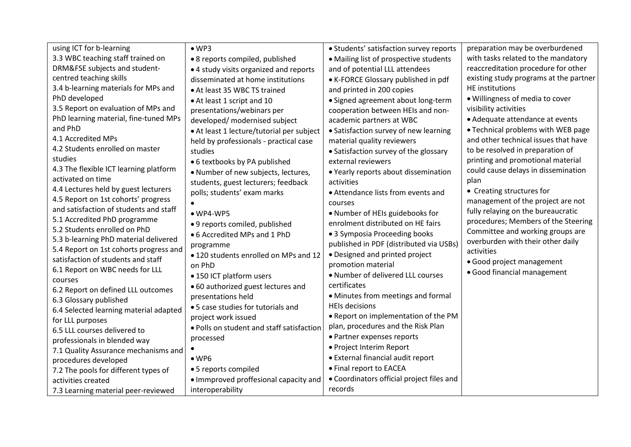| using ICT for b-learning                      | $\bullet$ WP3                             | • Students' satisfaction survey reports   | preparation may be overburdened        |
|-----------------------------------------------|-------------------------------------------|-------------------------------------------|----------------------------------------|
| 3.3 WBC teaching staff trained on             | • 8 reports compiled, published           | • Mailing list of prospective students    | with tasks related to the mandatory    |
| DRM&FSE subjects and student-                 | • 4 study visits organized and reports    | and of potential LLL attendees            | reaccreditation procedure for other    |
| centred teaching skills                       | disseminated at home institutions         | • K-FORCE Glossary published in pdf       | existing study programs at the partner |
| 3.4 b-learning materials for MPs and          | • At least 35 WBC TS trained              | and printed in 200 copies                 | HE institutions                        |
| PhD developed                                 | • At least 1 script and 10                | • Signed agreement about long-term        | . Willingness of media to cover        |
| 3.5 Report on evaluation of MPs and           | presentations/webinars per                | cooperation between HEIs and non-         | visibility activities                  |
| PhD learning material, fine-tuned MPs         | developed/ modernised subject             | academic partners at WBC                  | • Adequate attendance at events        |
| and PhD                                       | • At least 1 lecture/tutorial per subject | • Satisfaction survey of new learning     | • Technical problems with WEB page     |
| 4.1 Accredited MPs                            | held by professionals - practical case    | material quality reviewers                | and other technical issues that have   |
| 4.2 Students enrolled on master               | studies                                   | • Satisfaction survey of the glossary     | to be resolved in preparation of       |
| studies                                       | • 6 textbooks by PA published             | external reviewers                        | printing and promotional material      |
| 4.3 The flexible ICT learning platform        | · Number of new subjects, lectures,       | • Yearly reports about dissemination      | could cause delays in dissemination    |
| activated on time                             | students, guest lecturers; feedback       | activities                                | plan                                   |
| 4.4 Lectures held by guest lecturers          | polls; students' exam marks               | • Attendance lists from events and        | • Creating structures for              |
| 4.5 Report on 1st cohorts' progress           |                                           | courses                                   | management of the project are not      |
| and satisfaction of students and staff        | $\bullet$ WP4-WP5                         | • Number of HEIs guidebooks for           | fully relaying on the bureaucratic     |
| 5.1 Accredited PhD programme                  | • 9 reports comiled, published            | enrolment distributed on HE fairs         | procedures; Members of the Steering    |
| 5.2 Students enrolled on PhD                  | • 6 Accredited MPs and 1 PhD              | • 3 Symposia Proceeding books             | Committee and working groups are       |
| 5.3 b-learning PhD material delivered         | programme                                 | published in PDF (distributed via USBs)   | overburden with their other daily      |
| 5.4 Report on 1st cohorts progress and        | • 120 students enrolled on MPs and 12     | • Designed and printed project            | activities                             |
| satisfaction of students and staff            | on PhD                                    | promotion material                        | • Good project management              |
| 6.1 Report on WBC needs for LLL               | • 150 ICT platform users                  | . Number of delivered LLL courses         | · Good financial management            |
| courses<br>6.2 Report on defined LLL outcomes | • 60 authorized guest lectures and        | certificates                              |                                        |
| 6.3 Glossary published                        | presentations held                        | • Minutes from meetings and formal        |                                        |
| 6.4 Selected learning material adapted        | • 5 case studies for tutorials and        | <b>HEIs decisions</b>                     |                                        |
| for LLL purposes                              | project work issued                       | . Report on implementation of the PM      |                                        |
| 6.5 LLL courses delivered to                  | . Polls on student and staff satisfaction | plan, procedures and the Risk Plan        |                                        |
| professionals in blended way                  | processed                                 | • Partner expenses reports                |                                        |
| 7.1 Quality Assurance mechanisms and          |                                           | · Project Interim Report                  |                                        |
| procedures developed                          | $\bullet$ WP6                             | • External financial audit report         |                                        |
| 7.2 The pools for different types of          | • 5 reports compiled                      | • Final report to EACEA                   |                                        |
| activities created                            | • Immproved proffesional capacity and     | • Coordinators official project files and |                                        |
| 7.3 Learning material peer-reviewed           | interoperability                          | records                                   |                                        |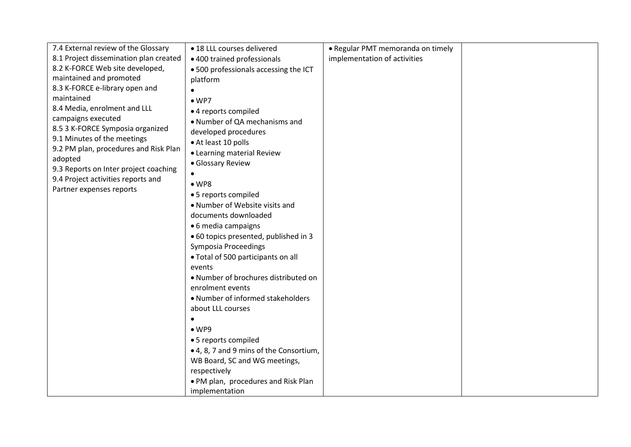| 7.4 External review of the Glossary    | • 18 LLL courses delivered              | • Regular PMT memoranda on timely |  |
|----------------------------------------|-----------------------------------------|-----------------------------------|--|
| 8.1 Project dissemination plan created | • 400 trained professionals             | implementation of activities      |  |
| 8.2 K-FORCE Web site developed,        | .500 professionals accessing the ICT    |                                   |  |
| maintained and promoted                | platform                                |                                   |  |
| 8.3 K-FORCE e-library open and         |                                         |                                   |  |
| maintained                             | $\bullet$ WP7                           |                                   |  |
| 8.4 Media, enrolment and LLL           | • 4 reports compiled                    |                                   |  |
| campaigns executed                     | • Number of QA mechanisms and           |                                   |  |
| 8.5 3 K-FORCE Symposia organized       | developed procedures                    |                                   |  |
| 9.1 Minutes of the meetings            | • At least 10 polls                     |                                   |  |
| 9.2 PM plan, procedures and Risk Plan  | • Learning material Review              |                                   |  |
| adopted                                | • Glossary Review                       |                                   |  |
| 9.3 Reports on Inter project coaching  | $\bullet$                               |                                   |  |
| 9.4 Project activities reports and     | $\bullet$ WP8                           |                                   |  |
| Partner expenses reports               | • 5 reports compiled                    |                                   |  |
|                                        | • Number of Website visits and          |                                   |  |
|                                        | documents downloaded                    |                                   |  |
|                                        | • 6 media campaigns                     |                                   |  |
|                                        | • 60 topics presented, published in 3   |                                   |  |
|                                        | Symposia Proceedings                    |                                   |  |
|                                        | · Total of 500 participants on all      |                                   |  |
|                                        | events                                  |                                   |  |
|                                        | . Number of brochures distributed on    |                                   |  |
|                                        | enrolment events                        |                                   |  |
|                                        | • Number of informed stakeholders       |                                   |  |
|                                        | about LLL courses                       |                                   |  |
|                                        | $\bullet$                               |                                   |  |
|                                        | $\bullet$ WP9                           |                                   |  |
|                                        | • 5 reports compiled                    |                                   |  |
|                                        | • 4, 8, 7 and 9 mins of the Consortium, |                                   |  |
|                                        | WB Board, SC and WG meetings,           |                                   |  |
|                                        | respectively                            |                                   |  |
|                                        | . PM plan, procedures and Risk Plan     |                                   |  |
|                                        | implementation                          |                                   |  |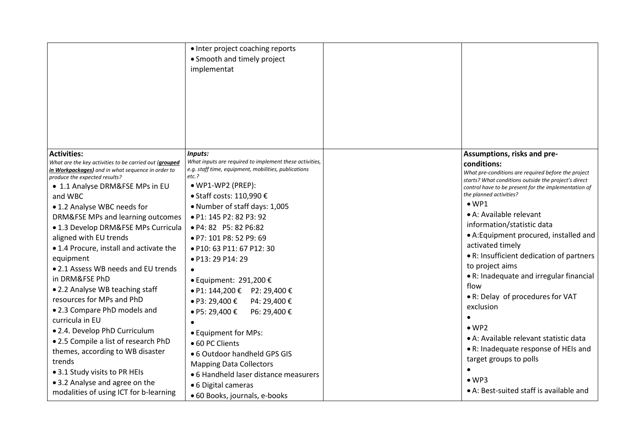|                                                                                                                                                                                                                                  | • Inter project coaching reports<br>• Smooth and timely project<br>implementat                                                                                                                             |                                                                                                                                                                                                                                                                          |
|----------------------------------------------------------------------------------------------------------------------------------------------------------------------------------------------------------------------------------|------------------------------------------------------------------------------------------------------------------------------------------------------------------------------------------------------------|--------------------------------------------------------------------------------------------------------------------------------------------------------------------------------------------------------------------------------------------------------------------------|
| <b>Activities:</b><br>What are the key activities to be carried out (grouped<br>in Workpackages) and in what sequence in order to                                                                                                | Inputs:<br>What inputs are required to implement these activities,<br>e.g. staff time, equipment, mobilities, publications                                                                                 | Assumptions, risks and pre-<br>conditions:                                                                                                                                                                                                                               |
| produce the expected results?<br>• 1.1 Analyse DRM&FSE MPs in EU<br>and WBC<br>• 1.2 Analyse WBC needs for<br>DRM&FSE MPs and learning outcomes                                                                                  | $etc.$ ?<br>· WP1-WP2 (PREP):<br>• Staff costs: 110,990 €<br>• Number of staff days: 1,005<br>• P1: 145 P2: 82 P3: 92                                                                                      | What pre-conditions are required before the project<br>starts? What conditions outside the project's direct<br>control have to be present for the implementation of<br>the planned activities?<br>$\bullet$ WP1<br>• A: Available relevant<br>information/statistic data |
| • 1.3 Develop DRM&FSE MPs Curricula<br>aligned with EU trends<br>• 1.4 Procure, install and activate the<br>equipment<br>• 2.1 Assess WB needs and EU trends                                                                     | • P4: 82 P5: 82 P6:82<br>· P7: 101 P8: 52 P9: 69<br>• P10: 63 P11: 67 P12: 30<br>· P13: 29 P14: 29                                                                                                         | • A: Equipment procured, installed and<br>activated timely<br>• R: Insufficient dedication of partners<br>to project aims<br>• R: Inadequate and irregular financial                                                                                                     |
| in DRM&FSE PhD<br>• 2.2 Analyse WB teaching staff<br>resources for MPs and PhD<br>. 2.3 Compare PhD models and<br>curricula in EU                                                                                                | $\bullet$ Equipment: 291,200 €<br>• P1: 144,200 € P2: 29,400 €<br>• P3: 29,400 $\epsilon$<br>P4: 29,400 €<br>• P5: 29,400 $\epsilon$<br>P6: 29,400 €                                                       | flow<br>• R: Delay of procedures for VAT<br>exclusion                                                                                                                                                                                                                    |
| • 2.4. Develop PhD Curriculum<br>• 2.5 Compile a list of research PhD<br>themes, according to WB disaster<br>trends<br>• 3.1 Study visits to PR HEIs<br>• 3.2 Analyse and agree on the<br>modalities of using ICT for b-learning | • Equipment for MPs:<br>• 60 PC Clients<br>• 6 Outdoor handheld GPS GIS<br><b>Mapping Data Collectors</b><br>• 6 Handheld laser distance measurers<br>• 6 Digital cameras<br>• 60 Books, journals, e-books | $\bullet$ WP2<br>• A: Available relevant statistic data<br>• R: Inadequate response of HEIs and<br>target groups to polls<br>$\bullet$ WP3<br>• A: Best-suited staff is available and                                                                                    |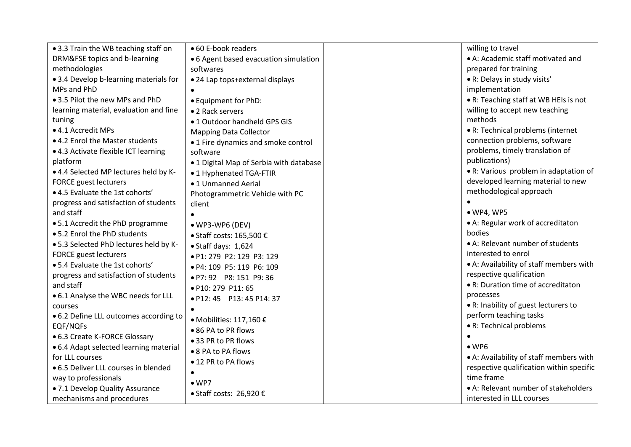| • 3.3 Train the WB teaching staff on   | • 60 E-book readers                       | willing to travel                        |
|----------------------------------------|-------------------------------------------|------------------------------------------|
| DRM&FSE topics and b-learning          | • 6 Agent based evacuation simulation     | • A: Academic staff motivated and        |
| methodologies                          | softwares                                 | prepared for training                    |
| • 3.4 Develop b-learning materials for | • 24 Lap tops+external displays           | • R: Delays in study visits'             |
| MPs and PhD                            |                                           | implementation                           |
| • 3.5 Pilot the new MPs and PhD        | • Equipment for PhD:                      | • R: Teaching staff at WB HEIs is not    |
| learning material, evaluation and fine | • 2 Rack servers                          | willing to accept new teaching           |
| tuning                                 | •1 Outdoor handheld GPS GIS               | methods                                  |
| • 4.1 Accredit MPs                     | <b>Mapping Data Collector</b>             | • R: Technical problems (internet        |
| • 4.2 Enrol the Master students        | • 1 Fire dynamics and smoke control       | connection problems, software            |
| • 4.3 Activate flexible ICT learning   | software                                  | problems, timely translation of          |
| platform                               | • 1 Digital Map of Serbia with database   | publications)                            |
| • 4.4 Selected MP lectures held by K-  | • 1 Hyphenated TGA-FTIR                   | • R: Various problem in adaptation of    |
| <b>FORCE</b> guest lecturers           | •1 Unmanned Aerial                        | developed learning material to new       |
| • 4.5 Evaluate the 1st cohorts'        | Photogrammetric Vehicle with PC           | methodological approach                  |
| progress and satisfaction of students  | client                                    |                                          |
| and staff                              |                                           | $\bullet$ WP4, WP5                       |
| • 5.1 Accredit the PhD programme       | • WP3-WP6 (DEV)                           | • A: Regular work of accreditaton        |
| • 5.2 Enrol the PhD students           | $\bullet$ Staff costs: 165,500 $\epsilon$ | bodies                                   |
| • 5.3 Selected PhD lectures held by K- | • Staff days: 1,624                       | • A: Relevant number of students         |
| <b>FORCE</b> guest lecturers           | • P1: 279 P2: 129 P3: 129                 | interested to enrol                      |
| • 5.4 Evaluate the 1st cohorts'        | • P4: 109 P5: 119 P6: 109                 | • A: Availability of staff members with  |
| progress and satisfaction of students  | • P7: 92 P8: 151 P9: 36                   | respective qualification                 |
| and staff                              | · P10: 279 P11: 65                        | • R: Duration time of accreditaton       |
| • 6.1 Analyse the WBC needs for LLL    | • P12: 45 P13: 45 P14: 37                 | processes                                |
| courses                                |                                           | • R: Inability of guest lecturers to     |
| • 6.2 Define LLL outcomes according to | ● Mobilities: 117,160 €                   | perform teaching tasks                   |
| EQF/NQFs                               | • 86 PA to PR flows                       | • R: Technical problems                  |
| • 6.3 Create K-FORCE Glossary          | ● 33 PR to PR flows                       |                                          |
| • 6.4 Adapt selected learning material | • 8 PA to PA flows                        | $\bullet$ WP6                            |
| for LLL courses                        | ● 12 PR to PA flows                       | • A: Availability of staff members with  |
| • 6.5 Deliver LLL courses in blended   | $\bullet$                                 | respective qualification within specific |
| way to professionals                   | $\bullet$ WP7                             | time frame                               |
| . 7.1 Develop Quality Assurance        | • Staff costs: 26,920 €                   | • A: Relevant number of stakeholders     |
| mechanisms and procedures              |                                           | interested in LLL courses                |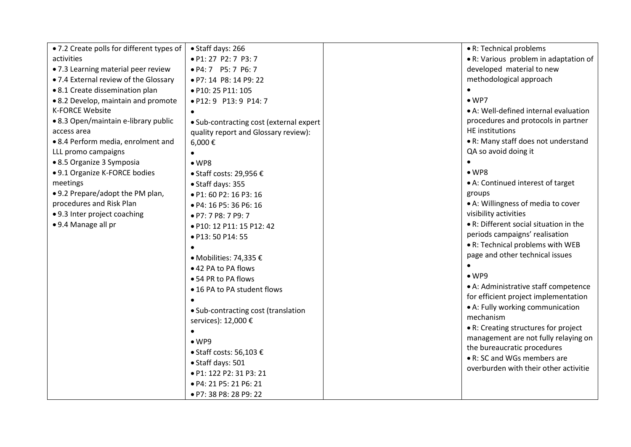| • 7.2 Create polls for different types of | • Staff days: 266                       | • R: Technical problems                |
|-------------------------------------------|-----------------------------------------|----------------------------------------|
| activities                                | • P1: 27 P2: 7 P3: 7                    | • R: Various problem in adaptation of  |
| • 7.3 Learning material peer review       | • P4: 7 P5: 7 P6: 7                     | developed material to new              |
| • 7.4 External review of the Glossary     | • P7: 14 P8: 14 P9: 22                  | methodological approach                |
| • 8.1 Create dissemination plan           | • P10: 25 P11: 105                      |                                        |
| • 8.2 Develop, maintain and promote       | • P12: 9 P13: 9 P14: 7                  | $\bullet$ WP7                          |
| <b>K-FORCE Website</b>                    |                                         | • A: Well-defined internal evaluation  |
| • 8.3 Open/maintain e-library public      | • Sub-contracting cost (external expert | procedures and protocols in partner    |
| access area                               | quality report and Glossary review):    | <b>HE</b> institutions                 |
| • 8.4 Perform media, enrolment and        | 6,000€                                  | • R: Many staff does not understand    |
| LLL promo campaigns                       |                                         | QA so avoid doing it                   |
| • 8.5 Organize 3 Symposia                 | $\bullet$ WP8                           |                                        |
| • 9.1 Organize K-FORCE bodies             | • Staff costs: 29,956 €                 | $\bullet$ WP8                          |
| meetings                                  | • Staff days: 355                       | • A: Continued interest of target      |
| • 9.2 Prepare/adopt the PM plan,          | • P1: 60 P2: 16 P3: 16                  | groups                                 |
| procedures and Risk Plan                  | • P4: 16 P5: 36 P6: 16                  | • A: Willingness of media to cover     |
| • 9.3 Inter project coaching              | • P7: 7 P8: 7 P9: 7                     | visibility activities                  |
| • 9.4 Manage all pr                       | · P10: 12 P11: 15 P12: 42               | • R: Different social situation in the |
|                                           | · P13: 50 P14: 55                       | periods campaigns' realisation         |
|                                           |                                         | • R: Technical problems with WEB       |
|                                           | ● Mobilities: 74,335 €                  | page and other technical issues        |
|                                           | • 42 PA to PA flows                     |                                        |
|                                           | ● 54 PR to PA flows                     | $\bullet$ WP9                          |
|                                           | • 16 PA to PA student flows             | • A: Administrative staff competence   |
|                                           |                                         | for efficient project implementation   |
|                                           | • Sub-contracting cost (translation     | • A: Fully working communication       |
|                                           | services): 12,000 €                     | mechanism                              |
|                                           |                                         | • R: Creating structures for project   |
|                                           | $\bullet$ WP9                           | management are not fully relaying on   |
|                                           | • Staff costs: 56,103 €                 | the bureaucratic procedures            |
|                                           | • Staff days: 501                       | • R: SC and WGs members are            |
|                                           | • P1: 122 P2: 31 P3: 21                 | overburden with their other activitie  |
|                                           | • P4: 21 P5: 21 P6: 21                  |                                        |
|                                           | • P7: 38 P8: 28 P9: 22                  |                                        |